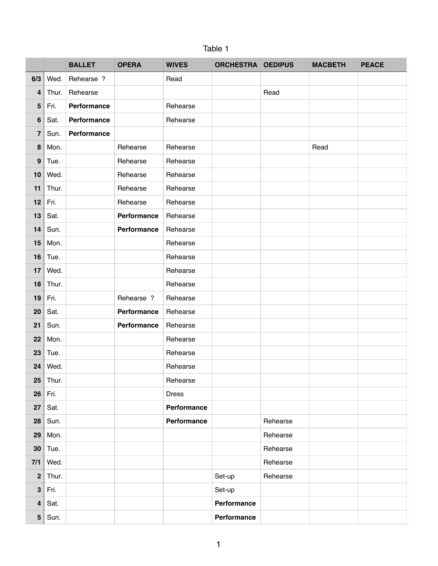## Table 1

|                         |       | <b>BALLET</b> | <b>OPERA</b> | <b>WIVES</b> | <b>ORCHESTRA OEDIPUS</b> |          | <b>MACBETH</b> | <b>PEACE</b> |
|-------------------------|-------|---------------|--------------|--------------|--------------------------|----------|----------------|--------------|
| 6/3                     | Wed.  | Rehearse ?    |              | Read         |                          |          |                |              |
| $\overline{4}$          | Thur. | Rehearse      |              |              |                          | Read     |                |              |
| 5                       | Fri.  | Performance   |              | Rehearse     |                          |          |                |              |
| $\bf 6$                 | Sat.  | Performance   |              | Rehearse     |                          |          |                |              |
| $\overline{\mathbf{r}}$ | Sun.  | Performance   |              |              |                          |          |                |              |
| 8                       | Mon.  |               | Rehearse     | Rehearse     |                          |          | Read           |              |
| 9                       | Tue.  |               | Rehearse     | Rehearse     |                          |          |                |              |
| 10                      | Wed.  |               | Rehearse     | Rehearse     |                          |          |                |              |
| 11                      | Thur. |               | Rehearse     | Rehearse     |                          |          |                |              |
| 12                      | Fri.  |               | Rehearse     | Rehearse     |                          |          |                |              |
| 13                      | Sat.  |               | Performance  | Rehearse     |                          |          |                |              |
| 14                      | Sun.  |               | Performance  | Rehearse     |                          |          |                |              |
| 15                      | Mon.  |               |              | Rehearse     |                          |          |                |              |
| 16                      | Tue.  |               |              | Rehearse     |                          |          |                |              |
| 17                      | Wed.  |               |              | Rehearse     |                          |          |                |              |
| 18                      | Thur. |               |              | Rehearse     |                          |          |                |              |
| 19                      | Fri.  |               | Rehearse ?   | Rehearse     |                          |          |                |              |
| 20                      | Sat.  |               | Performance  | Rehearse     |                          |          |                |              |
| 21                      | Sun.  |               | Performance  | Rehearse     |                          |          |                |              |
| 22                      | Mon.  |               |              | Rehearse     |                          |          |                |              |
| 23                      | Tue.  |               |              | Rehearse     |                          |          |                |              |
| 24                      | Wed.  |               |              | Rehearse     |                          |          |                |              |
| 25                      | Thur. |               |              | Rehearse     |                          |          |                |              |
| 26                      | Fri.  |               |              | <b>Dress</b> |                          |          |                |              |
| 27                      | Sat.  |               |              | Performance  |                          |          |                |              |
| 28                      | Sun.  |               |              | Performance  |                          | Rehearse |                |              |
| 29                      | Mon.  |               |              |              |                          | Rehearse |                |              |
| 30                      | Tue.  |               |              |              |                          | Rehearse |                |              |
| $7/1$                   | Wed.  |               |              |              |                          | Rehearse |                |              |
| $\mathbf{2}$            | Thur. |               |              |              | Set-up                   | Rehearse |                |              |
| $\mathbf{3}$            | Fri.  |               |              |              | Set-up                   |          |                |              |
| $\overline{\mathbf{4}}$ | Sat.  |               |              |              | Performance              |          |                |              |
| ${\bf 5}$               | Sun.  |               |              |              | Performance              |          |                |              |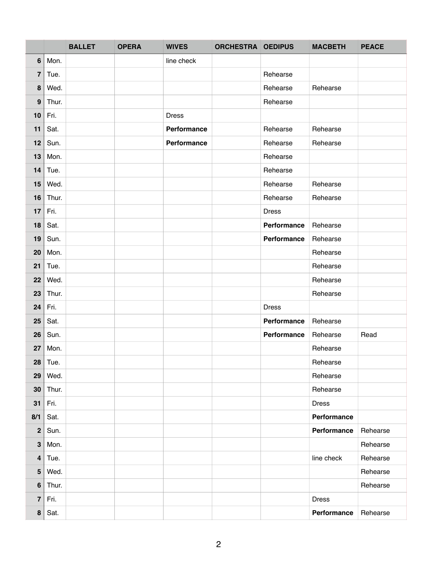|                  |           | <b>BALLET</b> | <b>OPERA</b> | <b>WIVES</b> | <b>ORCHESTRA OEDIPUS</b> |              | <b>MACBETH</b> | <b>PEACE</b> |
|------------------|-----------|---------------|--------------|--------------|--------------------------|--------------|----------------|--------------|
| $6\phantom{1}$   | Mon.      |               |              | line check   |                          |              |                |              |
| 7                | Tue.      |               |              |              |                          | Rehearse     |                |              |
| 8                | Wed.      |               |              |              |                          | Rehearse     | Rehearse       |              |
| $\boldsymbol{9}$ | Thur.     |               |              |              |                          | Rehearse     |                |              |
| 10               | Fri.      |               |              | <b>Dress</b> |                          |              |                |              |
| 11               | Sat.      |               |              | Performance  |                          | Rehearse     | Rehearse       |              |
| 12               | Sun.      |               |              | Performance  |                          | Rehearse     | Rehearse       |              |
| 13               | Mon.      |               |              |              |                          | Rehearse     |                |              |
| 14               | Tue.      |               |              |              |                          | Rehearse     |                |              |
| 15               | Wed.      |               |              |              |                          | Rehearse     | Rehearse       |              |
| 16               | Thur.     |               |              |              |                          | Rehearse     | Rehearse       |              |
| 17               | Fri.      |               |              |              |                          | <b>Dress</b> |                |              |
| 18               | Sat.      |               |              |              |                          | Performance  | Rehearse       |              |
| 19               | Sun.      |               |              |              |                          | Performance  | Rehearse       |              |
| 20               | Mon.      |               |              |              |                          |              | Rehearse       |              |
| 21               | Tue.      |               |              |              |                          |              | Rehearse       |              |
| 22               | Wed.      |               |              |              |                          |              | Rehearse       |              |
| 23               | Thur.     |               |              |              |                          |              | Rehearse       |              |
| 24               | Fri.      |               |              |              |                          | <b>Dress</b> |                |              |
| 25               | Sat.      |               |              |              |                          | Performance  | Rehearse       |              |
| 26               | Sun.      |               |              |              |                          | Performance  | Rehearse       | Read         |
| 27               | Mon.      |               |              |              |                          |              | Rehearse       |              |
|                  | $28$ Tue. |               |              |              |                          |              | Rehearse       |              |
| 29               | Wed.      |               |              |              |                          |              | Rehearse       |              |
| 30               | Thur.     |               |              |              |                          |              | Rehearse       |              |
| 31               | Fri.      |               |              |              |                          |              | <b>Dress</b>   |              |
| 8/1              | Sat.      |               |              |              |                          |              | Performance    |              |
| 2 <sup>1</sup>   | Sun.      |               |              |              |                          |              | Performance    | Rehearse     |
| 3 <sup>1</sup>   | Mon.      |               |              |              |                          |              |                | Rehearse     |
| 4                | Tue.      |               |              |              |                          |              | line check     | Rehearse     |
| 5 <sup>1</sup>   | Wed.      |               |              |              |                          |              |                | Rehearse     |
| $\boldsymbol{6}$ | Thur.     |               |              |              |                          |              |                | Rehearse     |
| 7 <sup>1</sup>   | Fri.      |               |              |              |                          |              | <b>Dress</b>   |              |
| 8 <sup>1</sup>   | Sat.      |               |              |              |                          |              | Performance    | Rehearse     |